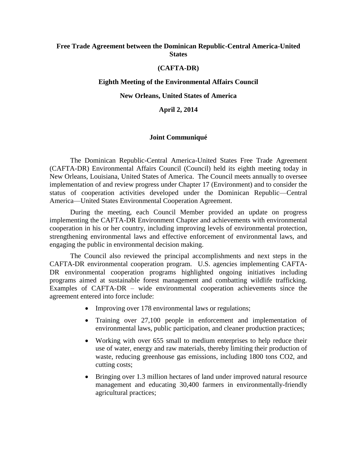# **Free Trade Agreement between the Dominican Republic-Central America-United States**

# **(CAFTA-DR)**

# **Eighth Meeting of the Environmental Affairs Council**

# **New Orleans, United States of America**

# **April 2, 2014**

### **Joint Communiqué**

The Dominican Republic-Central America-United States Free Trade Agreement (CAFTA-DR) Environmental Affairs Council (Council) held its eighth meeting today in New Orleans, Louisiana, United States of America. The Council meets annually to oversee implementation of and review progress under Chapter 17 (Environment) and to consider the status of cooperation activities developed under the Dominican Republic—Central America—United States Environmental Cooperation Agreement.

During the meeting, each Council Member provided an update on progress implementing the CAFTA-DR Environment Chapter and achievements with environmental cooperation in his or her country, including improving levels of environmental protection, strengthening environmental laws and effective enforcement of environmental laws, and engaging the public in environmental decision making.

The Council also reviewed the principal accomplishments and next steps in the CAFTA-DR environmental cooperation program. U.S. agencies implementing CAFTA-DR environmental cooperation programs highlighted ongoing initiatives including programs aimed at sustainable forest management and combatting wildlife trafficking. Examples of CAFTA-DR – wide environmental cooperation achievements since the agreement entered into force include:

- Improving over 178 environmental laws or regulations;
- Training over 27,100 people in enforcement and implementation of environmental laws, public participation, and cleaner production practices;
- Working with over 655 small to medium enterprises to help reduce their use of water, energy and raw materials, thereby limiting their production of waste, reducing greenhouse gas emissions, including 1800 tons CO2, and cutting costs;
- Bringing over 1.3 million hectares of land under improved natural resource management and educating 30,400 farmers in environmentally-friendly agricultural practices;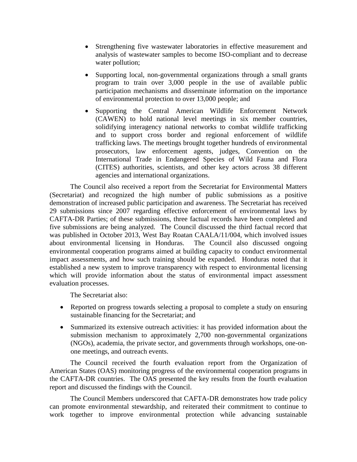- Strengthening five wastewater laboratories in effective measurement and analysis of wastewater samples to become ISO-compliant and to decrease water pollution;
- Supporting local, non-governmental organizations through a small grants program to train over 3,000 people in the use of available public participation mechanisms and disseminate information on the importance of environmental protection to over 13,000 people; and
- Supporting the Central American Wildlife Enforcement Network (CAWEN) to hold national level meetings in six member countries, solidifying interagency national networks to combat wildlife trafficking and to support cross border and regional enforcement of wildlife trafficking laws. The meetings brought together hundreds of environmental prosecutors, law enforcement agents, judges, Convention on the International Trade in Endangered Species of Wild Fauna and Flora (CITES) authorities, scientists, and other key actors across 38 different agencies and international organizations.

The Council also received a report from the Secretariat for Environmental Matters (Secretariat) and recognized the high number of public submissions as a positive demonstration of increased public participation and awareness. The Secretariat has received 29 submissions since 2007 regarding effective enforcement of environmental laws by CAFTA-DR Parties; of these submissions, three factual records have been completed and five submissions are being analyzed. The Council discussed the third factual record that was published in October 2013, West Bay Roatan CAALA/11/004, which involved issues about environmental licensing in Honduras. The Council also discussed ongoing environmental cooperation programs aimed at building capacity to conduct environmental impact assessments, and how such training should be expanded. Honduras noted that it established a new system to improve transparency with respect to environmental licensing which will provide information about the status of environmental impact assessment evaluation processes.

The Secretariat also:

- Reported on progress towards selecting a proposal to complete a study on ensuring sustainable financing for the Secretariat; and
- Summarized its extensive outreach activities: it has provided information about the submission mechanism to approximately 2,700 non-governmental organizations (NGOs), academia, the private sector, and governments through workshops, one-onone meetings, and outreach events.

The Council received the fourth evaluation report from the Organization of American States (OAS) monitoring progress of the environmental cooperation programs in the CAFTA-DR countries. The OAS presented the key results from the fourth evaluation report and discussed the findings with the Council.

The Council Members underscored that CAFTA-DR demonstrates how trade policy can promote environmental stewardship, and reiterated their commitment to continue to work together to improve environmental protection while advancing sustainable